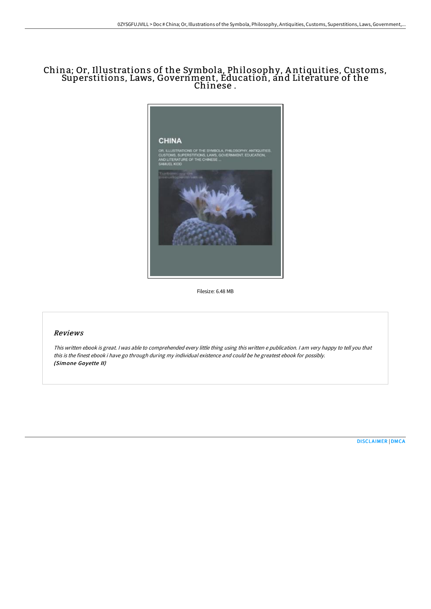## China; Or, Illustrations of the Symbola, Philosophy, A ntiquities, Customs, Superstitions, Laws, Government, Education, and Literature of the Chinese .



Filesize: 6.48 MB

## Reviews

This written ebook is great. I was able to comprehended every little thing using this written e publication. I am very happy to tell you that this is the finest ebook i have go through during my individual existence and could be he greatest ebook for possibly. (Simone Goyette II)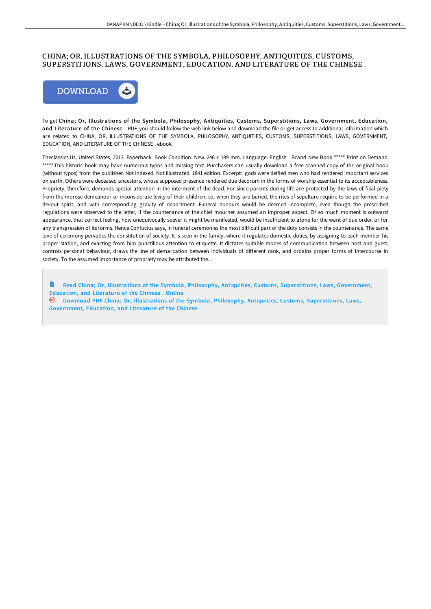## CHINA; OR, ILLUSTRATIONS OF THE SYMBOLA, PHILOSOPHY, ANTIQUITIES, CUSTOMS, SUPERSTITIONS, LAWS, GOVERNMENT, EDUCATION, AND LITERATURE OF THE CHINESE .



To get China; Or, Illustrations of the Symbola, Philosophy, Antiquities, Customs, Super stitions, Laws, Government, Education, and Literature of the Chinese . PDF, you should follow the web link below and download the file or get access to additional information which are related to CHINA; OR, ILLUSTRATIONS OF THE SYMBOLA, PHILOSOPHY, ANTIQUITIES, CUSTOMS, SUPERSTITIONS, LAWS, GOVERNMENT, EDUCATION, AND LITERATURE OF THE CHINESE . ebook.

Theclassics.Us, United States, 2013. Paperback. Book Condition: New. 246 x 189 mm. Language: English . Brand New Book \*\*\*\*\* Print on Demand \*\*\*\*\*.This historic book may have numerous typos and missing text. Purchasers can usually download a free scanned copy of the original book (without typos) from the publisher. Not indexed. Not illustrated. 1841 edition. Excerpt: .gods were deified men who had rendered important services on earth. Others were deceased ancestors, whose supposed presence rendered due decorum in the forms of worship essential to its acceptableness. Propriety, therefore, demands special attention in the interment of the dead. For since parents during life are protected by the laws of filial piety from the morose demeanour or inconsiderate levity of their children, so, when they are buried, the rites of sepulture require to be performed in a devout spirit, and with corresponding gravity of deportment. Funeral honours would be deemed incomplete, even though the prescribed regulations were observed to the letter, if the countenance of the chief mourner assumed an improper aspect. Of so much moment is outward appearance, that correct feeling, how unequivocally soever it might be manifested, would be insufficient to atone for the want of due order, or for any transgression of its forms. Hence Confucius says, in funeral ceremonies the most difficult part of the duty consists in the countenance. The same love of ceremony pervades the constitution of society. It is seen in the family, where it regulates domestic duties, by assigning to each member his proper station, and exacting from him punctilious attention to etiquette. It dictates suitable modes of communication between host and guest, controls personal behaviour, draws the line of demarcation between individuals of diHerent rank, and ordains proper forms of intercourse in society. To the assumed importance of propriety may be attributed the...

B Read China; Or, Illustrations of the Symbola, Philosophy, Antiquities, Customs, Superstitions, Laws, [Government,](http://www.bookdirs.com/china-or-illustrations-of-the-symbola-philosophy.html) Education, and Literature of the Chinese . Online

Download PDF China; Or, Illustrations of the Symbola, Philosophy, Antiquities, Customs, Super stitions, Laws, [Government,](http://www.bookdirs.com/china-or-illustrations-of-the-symbola-philosophy.html) Education, and Literature of the Chinese .